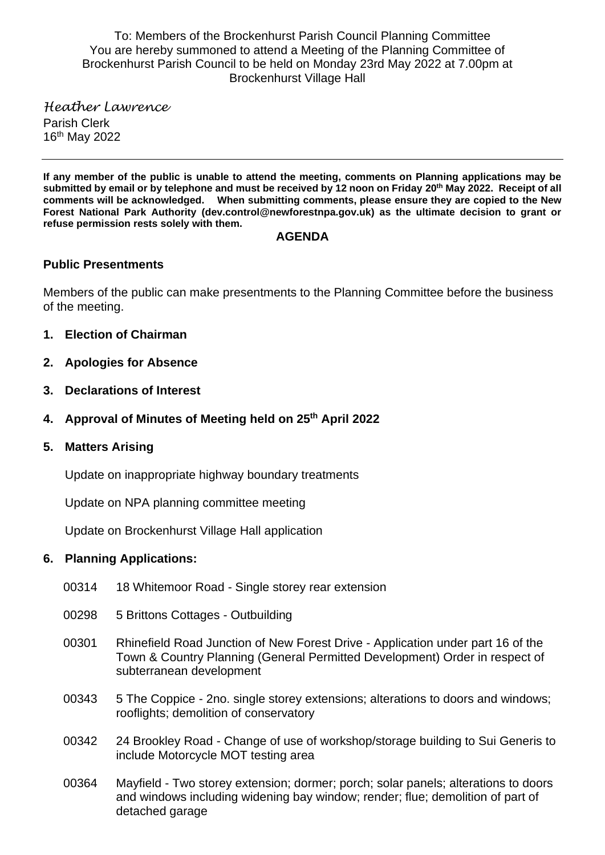To: Members of the Brockenhurst Parish Council Planning Committee You are hereby summoned to attend a Meeting of the Planning Committee of Brockenhurst Parish Council to be held on Monday 23rd May 2022 at 7.00pm at Brockenhurst Village Hall

*Heather Lawrence* Parish Clerk 16 th May 2022

**If any member of the public is unable to attend the meeting, comments on Planning applications may be submitted by email or by telephone and must be received by 12 noon on Friday 20th May 2022. Receipt of all comments will be acknowledged. When submitting comments, please ensure they are copied to the New Forest National Park Authority (dev.control@newforestnpa.gov.uk) as the ultimate decision to grant or refuse permission rests solely with them.**

#### **AGENDA**

#### **Public Presentments**

Members of the public can make presentments to the Planning Committee before the business of the meeting.

- **1. Election of Chairman**
- **2. Apologies for Absence**
- **3. Declarations of Interest**
- **4. Approval of Minutes of Meeting held on 25 th April 2022**
- **5. Matters Arising**

Update on inappropriate highway boundary treatments

Update on NPA planning committee meeting

Update on Brockenhurst Village Hall application

#### **6. Planning Applications:**

- 00314 18 Whitemoor Road Single storey rear extension
- 00298 5 Brittons Cottages Outbuilding
- 00301 Rhinefield Road Junction of New Forest Drive Application under part 16 of the Town & Country Planning (General Permitted Development) Order in respect of subterranean development
- 00343 5 The Coppice 2no. single storey extensions; alterations to doors and windows; rooflights; demolition of conservatory
- 00342 24 Brookley Road Change of use of workshop/storage building to Sui Generis to include Motorcycle MOT testing area
- 00364 Mayfield Two storey extension; dormer; porch; solar panels; alterations to doors and windows including widening bay window; render; flue; demolition of part of detached garage